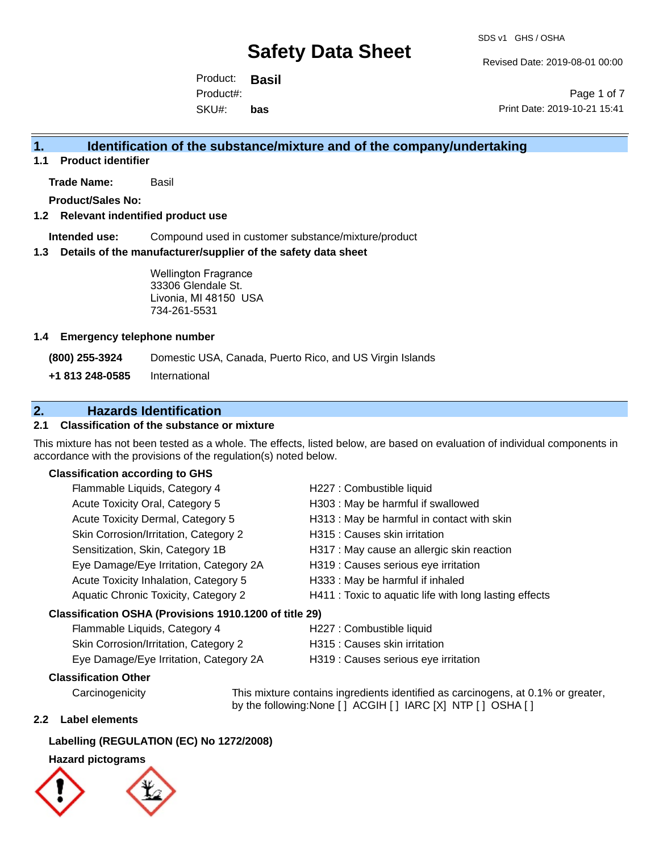Revised Date: 2019-08-01 00:00

Product: **Basil** SKU#: Product#: **bas**

Page 1 of 7 Print Date: 2019-10-21 15:41

### **1. Identification of the substance/mixture and of the company/undertaking**

**1.1 Product identifier**

**Trade Name:** Basil

**Product/Sales No:**

### **1.2 Relevant indentified product use**

**Intended use:** Compound used in customer substance/mixture/product

### **1.3 Details of the manufacturer/supplier of the safety data sheet**

Wellington Fragrance 33306 Glendale St. Livonia, MI 48150 USA 734-261-5531

### **1.4 Emergency telephone number**

**(800) 255-3924** Domestic USA, Canada, Puerto Rico, and US Virgin Islands

**+1 813 248-0585** International

### **2. Hazards Identification**

### **2.1 Classification of the substance or mixture**

This mixture has not been tested as a whole. The effects, listed below, are based on evaluation of individual components in accordance with the provisions of the regulation(s) noted below.

### **Classification according to GHS**

| Flammable Liquids, Category 4                          | H227 : Combustible liquid                              |
|--------------------------------------------------------|--------------------------------------------------------|
| Acute Toxicity Oral, Category 5                        | H303 : May be harmful if swallowed                     |
| Acute Toxicity Dermal, Category 5                      | H313 : May be harmful in contact with skin             |
| Skin Corrosion/Irritation, Category 2                  | H315 : Causes skin irritation                          |
| Sensitization, Skin, Category 1B                       | H317 : May cause an allergic skin reaction             |
| Eye Damage/Eye Irritation, Category 2A                 | H319 : Causes serious eye irritation                   |
| Acute Toxicity Inhalation, Category 5                  | H333: May be harmful if inhaled                        |
| Aquatic Chronic Toxicity, Category 2                   | H411 : Toxic to aquatic life with long lasting effects |
| Classification OSHA (Provisions 1910.1200 of title 29) |                                                        |
| Flammable Liquids, Category 4                          | H227 : Combustible liquid                              |

| $\frac{1}{2}$ and $\frac{1}{2}$ and $\frac{1}{2}$ and $\frac{1}{2}$ and $\frac{1}{2}$ | <b>ILLET</b> . Compagnone inquire    |
|---------------------------------------------------------------------------------------|--------------------------------------|
| Skin Corrosion/Irritation, Category 2                                                 | H315 : Causes skin irritation        |
| Eye Damage/Eye Irritation, Category 2A                                                | H319 : Causes serious eye irritation |

### **Classification Other**

by the following:None [ ] ACGIH [ ] IARC [X] NTP [ ] OSHA [ ]

### **2.2 Label elements**

### **Labelling (REGULATION (EC) No 1272/2008)**

### **Hazard pictograms**



Carcinogenicity This mixture contains ingredients identified as carcinogens, at 0.1% or greater,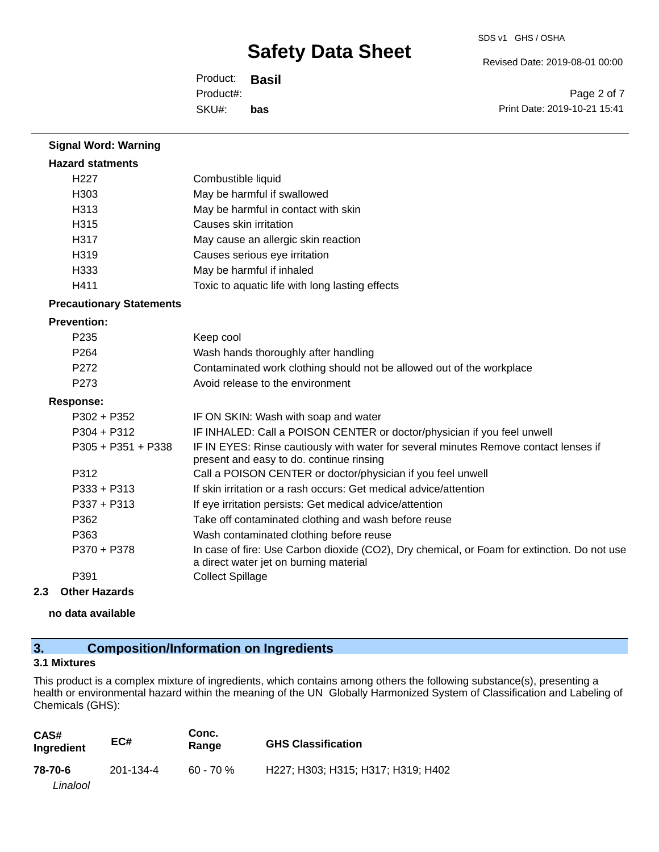SDS v1 GHS / OSHA

Revised Date: 2019-08-01 00:00

Product: **Basil** SKU#: Product#: **bas**

Page 2 of 7 Print Date: 2019-10-21 15:41

| <b>Signal Word: Warning</b>     |                                                                                                                                       |
|---------------------------------|---------------------------------------------------------------------------------------------------------------------------------------|
| <b>Hazard statments</b>         |                                                                                                                                       |
| H <sub>227</sub>                | Combustible liquid                                                                                                                    |
| H303                            | May be harmful if swallowed                                                                                                           |
| H313                            | May be harmful in contact with skin                                                                                                   |
| H315                            | Causes skin irritation                                                                                                                |
| H317                            | May cause an allergic skin reaction                                                                                                   |
| H319                            | Causes serious eye irritation                                                                                                         |
| H333                            | May be harmful if inhaled                                                                                                             |
| H411                            | Toxic to aquatic life with long lasting effects                                                                                       |
| <b>Precautionary Statements</b> |                                                                                                                                       |
| <b>Prevention:</b>              |                                                                                                                                       |
| P <sub>235</sub>                | Keep cool                                                                                                                             |
| P <sub>264</sub>                | Wash hands thoroughly after handling                                                                                                  |
| P272                            | Contaminated work clothing should not be allowed out of the workplace                                                                 |
| P273                            | Avoid release to the environment                                                                                                      |
| <b>Response:</b>                |                                                                                                                                       |
| $P302 + P352$                   | IF ON SKIN: Wash with soap and water                                                                                                  |
| P304 + P312                     | IF INHALED: Call a POISON CENTER or doctor/physician if you feel unwell                                                               |
| P305 + P351 + P338              | IF IN EYES: Rinse cautiously with water for several minutes Remove contact lenses if<br>present and easy to do. continue rinsing      |
| P312                            | Call a POISON CENTER or doctor/physician if you feel unwell                                                                           |
| $P333 + P313$                   | If skin irritation or a rash occurs: Get medical advice/attention                                                                     |
| $P337 + P313$                   | If eye irritation persists: Get medical advice/attention                                                                              |
| P362                            | Take off contaminated clothing and wash before reuse                                                                                  |
| P363                            | Wash contaminated clothing before reuse                                                                                               |
| P370 + P378                     | In case of fire: Use Carbon dioxide (CO2), Dry chemical, or Foam for extinction. Do not use<br>a direct water jet on burning material |
| P391                            | <b>Collect Spillage</b>                                                                                                               |

### **2.3 Other Hazards**

**no data available**

### **3. Composition/Information on Ingredients**

### **3.1 Mixtures**

This product is a complex mixture of ingredients, which contains among others the following substance(s), presenting a health or environmental hazard within the meaning of the UN Globally Harmonized System of Classification and Labeling of Chemicals (GHS):

| CAS#<br>Ingredient | EC#       | Conc.<br>Range | <b>GHS Classification</b>          |
|--------------------|-----------|----------------|------------------------------------|
| 78-70-6            | 201-134-4 | $60 - 70%$     | H227; H303; H315; H317; H319; H402 |
| Linalool           |           |                |                                    |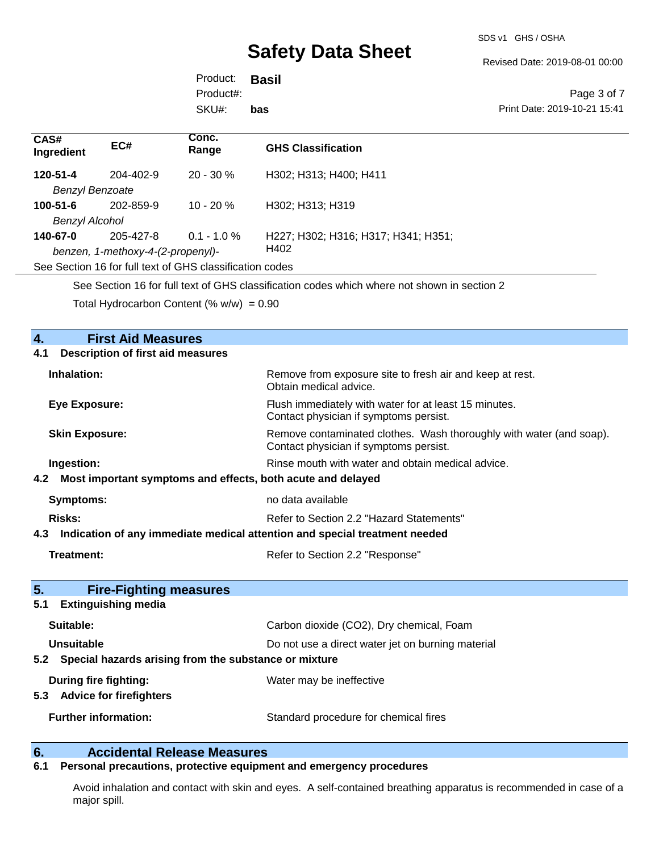SDS v1 GHS / OSHA

Revised Date: 2019-08-01 00:00

Product: **Basil** SKU#: Product#: **bas**

Page 3 of 7 Print Date: 2019-10-21 15:41

| CAS#<br>Ingredient                                       | EC#             | Conc.<br>Range | <b>GHS Classification</b>           |
|----------------------------------------------------------|-----------------|----------------|-------------------------------------|
| 120-51-4                                                 | $204 - 402 - 9$ | $20 - 30 \%$   | H302; H313; H400; H411              |
| <b>Benzyl Benzoate</b>                                   |                 |                |                                     |
| $100 - 51 - 6$                                           | 202-859-9       | $10 - 20 \%$   | H302; H313; H319                    |
| Benzyl Alcohol                                           |                 |                |                                     |
| 140-67-0                                                 | 205-427-8       | $0.1 - 1.0 \%$ | H227; H302; H316; H317; H341; H351; |
| benzen, 1-methoxy-4-(2-propenyl)-                        |                 |                | H402                                |
| See Section 16 for full text of GHS classification codes |                 |                |                                     |
|                                                          |                 |                |                                     |

See Section 16 for full text of GHS classification codes which where not shown in section 2

Total Hydrocarbon Content  $% w/w = 0.90$ 

## **4. First Aid Measures 4.1 Description of first aid measures Inhalation:** Remove from exposure site to fresh air and keep at rest. Obtain medical advice. **Eye Exposure:** Flush immediately with water for at least 15 minutes. Contact physician if symptoms persist. **Skin Exposure:** Remove contaminated clothes. Wash thoroughly with water (and soap). Contact physician if symptoms persist. **Ingestion: Rinse mouth with water and obtain medical advice. Rinse mouth with water and obtain medical advice. 4.2 Most important symptoms and effects, both acute and delayed Symptoms:** no data available **Risks:** Risks: Refer to Section 2.2 "Hazard Statements" **4.3 Indication of any immediate medical attention and special treatment needed Treatment:** Treatment: Refer to Section 2.2 "Response" **5. Fire-Fighting measures 5.1 Extinguishing media Suitable:** Carbon dioxide (CO2), Dry chemical, Foam **Unsuitable** Do not use a direct water jet on burning material **5.2 Special hazards arising from the substance or mixture During fire fighting:** Water may be ineffective **5.3 Advice for firefighters Further information:** Standard procedure for chemical fires

### **6. Accidental Release Measures**

### **6.1 Personal precautions, protective equipment and emergency procedures**

Avoid inhalation and contact with skin and eyes. A self-contained breathing apparatus is recommended in case of a major spill.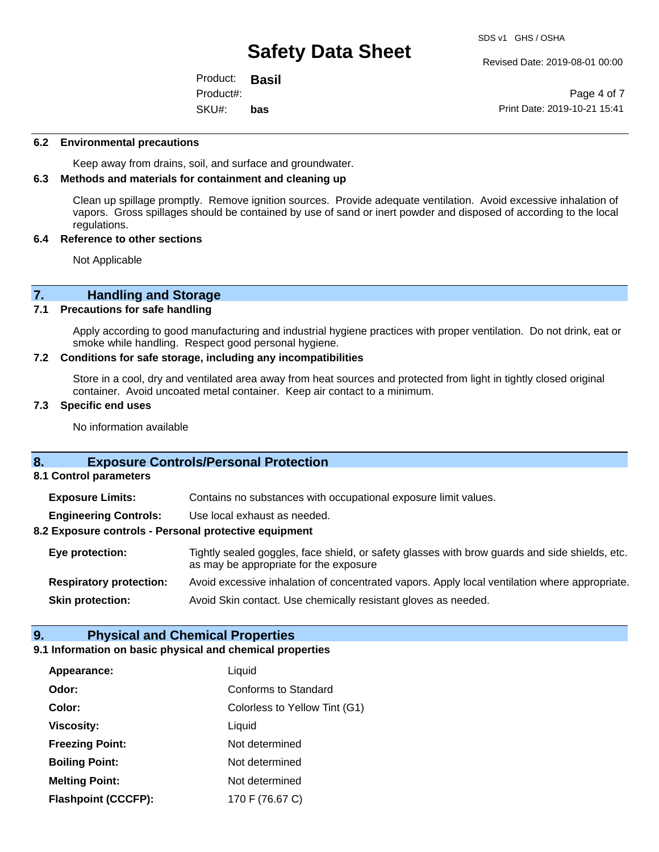SDS v1 GHS / OSHA

Product: **Basil** SKU#: Product#: **bas**

Revised Date: 2019-08-01 00:00

Page 4 of 7 Print Date: 2019-10-21 15:41

### **6.2 Environmental precautions**

Keep away from drains, soil, and surface and groundwater.

### **6.3 Methods and materials for containment and cleaning up**

Clean up spillage promptly. Remove ignition sources. Provide adequate ventilation. Avoid excessive inhalation of vapors. Gross spillages should be contained by use of sand or inert powder and disposed of according to the local regulations.

### **6.4 Reference to other sections**

Not Applicable

# **7. Handling and Storage**<br>**7.1** Precautions for safe handling

### **Precautions for safe handling**

Apply according to good manufacturing and industrial hygiene practices with proper ventilation. Do not drink, eat or smoke while handling. Respect good personal hygiene.

### **7.2 Conditions for safe storage, including any incompatibilities**

Store in a cool, dry and ventilated area away from heat sources and protected from light in tightly closed original container. Avoid uncoated metal container. Keep air contact to a minimum.

### **7.3 Specific end uses**

No information available

### **8. Exposure Controls/Personal Protection**

**8.1 Control parameters**

**Exposure Limits:** Contains no substances with occupational exposure limit values.

**Engineering Controls:** Use local exhaust as needed.

### **8.2 Exposure controls - Personal protective equipment**

**Eye protection:** Tightly sealed goggles, face shield, or safety glasses with brow guards and side shields, etc. as may be appropriate for the exposure **Respiratory protection:** Avoid excessive inhalation of concentrated vapors. Apply local ventilation where appropriate.

**Skin protection:** Avoid Skin contact. Use chemically resistant gloves as needed.

### **9. Physical and Chemical Properties**

### **9.1 Information on basic physical and chemical properties**

| Appearance:                | Liquid                        |
|----------------------------|-------------------------------|
| Odor:                      | <b>Conforms to Standard</b>   |
| Color:                     | Colorless to Yellow Tint (G1) |
| <b>Viscosity:</b>          | Liquid                        |
| <b>Freezing Point:</b>     | Not determined                |
| <b>Boiling Point:</b>      | Not determined                |
| <b>Melting Point:</b>      | Not determined                |
| <b>Flashpoint (CCCFP):</b> | 170 F (76.67 C)               |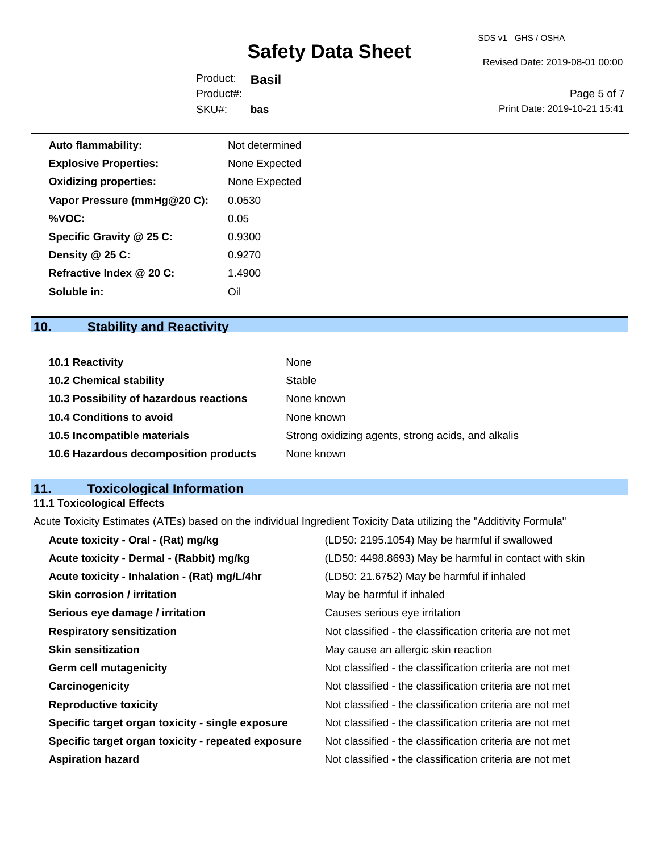Revised Date: 2019-08-01 00:00

Product: **Basil** SKU#: Product#: **bas**

Page 5 of 7 Print Date: 2019-10-21 15:41

| <b>Auto flammability:</b>    | Not determined |  |
|------------------------------|----------------|--|
| <b>Explosive Properties:</b> | None Expected  |  |
| <b>Oxidizing properties:</b> | None Expected  |  |
| Vapor Pressure (mmHg@20 C):  | 0.0530         |  |
| %VOC:                        | 0.05           |  |
| Specific Gravity @ 25 C:     | 0.9300         |  |
| Density @ 25 C:              | 0.9270         |  |
| Refractive Index @ 20 C:     | 1.4900         |  |
| Soluble in:                  | Oil            |  |

# **10. Stability and Reactivity**

| <b>10.1 Reactivity</b>                  | None                                               |
|-----------------------------------------|----------------------------------------------------|
| <b>10.2 Chemical stability</b>          | Stable                                             |
| 10.3 Possibility of hazardous reactions | None known                                         |
| 10.4 Conditions to avoid                | None known                                         |
| 10.5 Incompatible materials             | Strong oxidizing agents, strong acids, and alkalis |
| 10.6 Hazardous decomposition products   | None known                                         |

### **11. Toxicological Information**

### **11.1 Toxicological Effects**

Acute Toxicity Estimates (ATEs) based on the individual Ingredient Toxicity Data utilizing the "Additivity Formula"

| Acute toxicity - Oral - (Rat) mg/kg                | (LD50: 2195.1054) May be harmful if swallowed            |
|----------------------------------------------------|----------------------------------------------------------|
| Acute toxicity - Dermal - (Rabbit) mg/kg           | (LD50: 4498.8693) May be harmful in contact with skin    |
| Acute toxicity - Inhalation - (Rat) mg/L/4hr       | (LD50: 21.6752) May be harmful if inhaled                |
| <b>Skin corrosion / irritation</b>                 | May be harmful if inhaled                                |
| Serious eye damage / irritation                    | Causes serious eye irritation                            |
| <b>Respiratory sensitization</b>                   | Not classified - the classification criteria are not met |
| <b>Skin sensitization</b>                          | May cause an allergic skin reaction                      |
| <b>Germ cell mutagenicity</b>                      | Not classified - the classification criteria are not met |
| Carcinogenicity                                    | Not classified - the classification criteria are not met |
| <b>Reproductive toxicity</b>                       | Not classified - the classification criteria are not met |
| Specific target organ toxicity - single exposure   | Not classified - the classification criteria are not met |
| Specific target organ toxicity - repeated exposure | Not classified - the classification criteria are not met |
| <b>Aspiration hazard</b>                           | Not classified - the classification criteria are not met |
|                                                    |                                                          |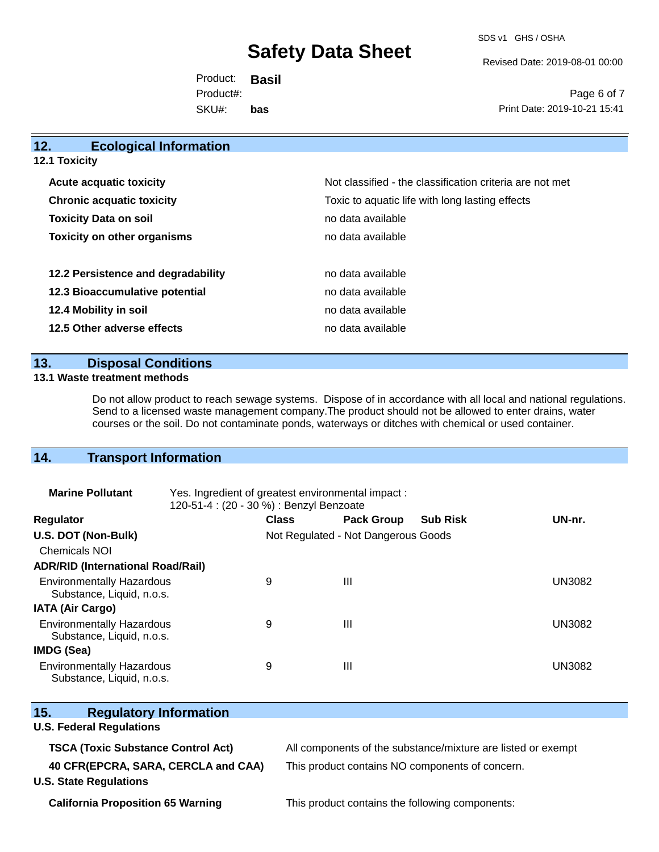SDS v1 GHS / OSHA

Revised Date: 2019-08-01 00:00

Product: **Basil** SKU#: Product#: **bas**

Page 6 of 7 Print Date: 2019-10-21 15:41

| 12.           | <b>Ecological Information</b>      |                                                          |
|---------------|------------------------------------|----------------------------------------------------------|
| 12.1 Toxicity |                                    |                                                          |
|               | <b>Acute acquatic toxicity</b>     | Not classified - the classification criteria are not met |
|               | <b>Chronic acquatic toxicity</b>   | Toxic to aquatic life with long lasting effects          |
|               | <b>Toxicity Data on soil</b>       | no data available                                        |
|               | <b>Toxicity on other organisms</b> | no data available                                        |
|               | 12.2 Persistence and degradability | no data available                                        |
|               | 12.3 Bioaccumulative potential     | no data available                                        |
|               | 12.4 Mobility in soil              | no data available                                        |
|               | 12.5 Other adverse effects         | no data available                                        |
|               |                                    |                                                          |

### **13. Disposal Conditions**

### **13.1 Waste treatment methods**

Do not allow product to reach sewage systems. Dispose of in accordance with all local and national regulations. Send to a licensed waste management company.The product should not be allowed to enter drains, water courses or the soil. Do not contaminate ponds, waterways or ditches with chemical or used container.

### **14. Transport Information**

| <b>Marine Pollutant</b>                                       | Yes. Ingredient of greatest environmental impact:<br>120-51-4 : (20 - 30 %) : Benzyl Benzoate |                                     |                   |                 |               |
|---------------------------------------------------------------|-----------------------------------------------------------------------------------------------|-------------------------------------|-------------------|-----------------|---------------|
| <b>Regulator</b>                                              |                                                                                               | <b>Class</b>                        | <b>Pack Group</b> | <b>Sub Risk</b> | UN-nr.        |
| U.S. DOT (Non-Bulk)                                           |                                                                                               | Not Regulated - Not Dangerous Goods |                   |                 |               |
| <b>Chemicals NOI</b>                                          |                                                                                               |                                     |                   |                 |               |
| <b>ADR/RID (International Road/Rail)</b>                      |                                                                                               |                                     |                   |                 |               |
| <b>Environmentally Hazardous</b><br>Substance, Liquid, n.o.s. |                                                                                               | 9                                   | Ш                 |                 | <b>UN3082</b> |
| <b>IATA (Air Cargo)</b>                                       |                                                                                               |                                     |                   |                 |               |
| <b>Environmentally Hazardous</b><br>Substance, Liquid, n.o.s. |                                                                                               | 9                                   | Ш                 |                 | <b>UN3082</b> |
| <b>IMDG (Sea)</b>                                             |                                                                                               |                                     |                   |                 |               |
| <b>Environmentally Hazardous</b><br>Substance, Liquid, n.o.s. |                                                                                               | 9                                   | Ш                 |                 | <b>UN3082</b> |

| Substance, Liquid, n.o.s.                 |                                                              |
|-------------------------------------------|--------------------------------------------------------------|
| 15.1<br><b>Regulatory Information</b>     |                                                              |
| <b>U.S. Federal Regulations</b>           |                                                              |
| <b>TSCA (Toxic Substance Control Act)</b> | All components of the substance/mixture are listed or exempt |
| 40 CFR(EPCRA, SARA, CERCLA and CAA)       | This product contains NO components of concern.              |
| <b>U.S. State Regulations</b>             |                                                              |
|                                           |                                                              |

**California Proposition 65 Warning This product contains the following components:**